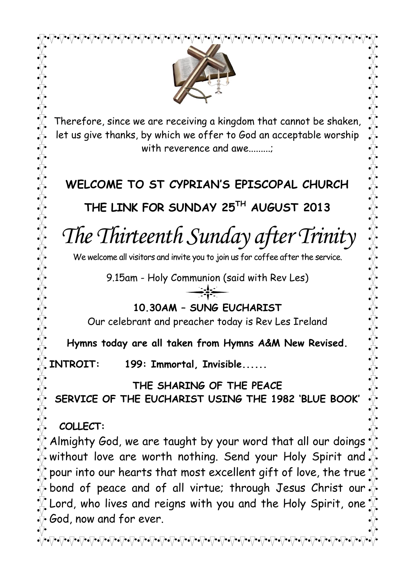

Therefore, since we are receiving a kingdom that cannot be shaken, let us give thanks, by which we offer to God an acceptable worship with reverence and awe.........

# **WELCOME TO ST CYPRIAN'S EPISCOPAL CHURCH**

**THE LINK FOR SUNDAY 25TH AUGUST 2013**

*The Thirteenth Sunday after Trinity* 

We welcome all visitors and invite you to join us for coffee after the service.

9.15am - Holy Communion (said with Rev Les)

**10.30AM – SUNG EUCHARIST**

Our celebrant and preacher today is Rev Les Ireland

**Hymns today are all taken from Hymns A&M New Revised.**

**INTROIT: 199: Immortal, Invisible......**

**THE SHARING OF THE PEACE SERVICE OF THE EUCHARIST USING THE 1982 'BLUE BOOK'** 

**COLLECT:** 

Almighty God, we are taught by your word that all our doings without love are worth nothing. Send your Holy Spirit and pour into our hearts that most excellent gift of love, the true bond of peace and of all virtue; through Jesus Christ our Lord, who lives and reigns with you and the Holy Spirit, one  $\overline{\mathbb{V}}$  God, now and for ever.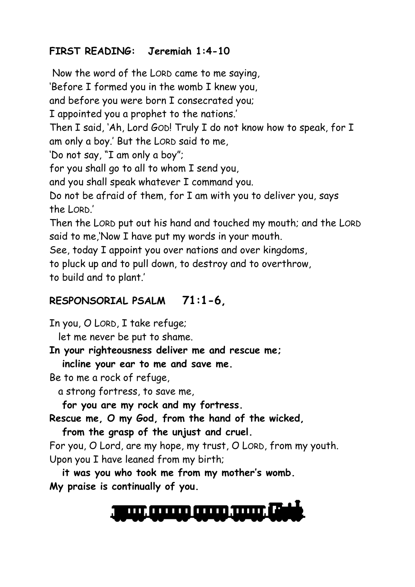### **FIRST READING: Jeremiah 1:4-10**

Now the word of the LORD came to me saying,

'Before I formed you in the womb I knew you,

and before you were born I consecrated you;

I appointed you a prophet to the nations.'

Then I said, 'Ah, Lord GOD! Truly I do not know how to speak, for I am only a boy.' But the LORD said to me,

'Do not say, "I am only a boy";

for you shall go to all to whom I send you,

and you shall speak whatever I command you.

Do not be afraid of them, for I am with you to deliver you, says the LORD.'

Then the LORD put out his hand and touched my mouth; and the LORD said to me,'Now I have put my words in your mouth.

See, today I appoint you over nations and over kingdoms,

to pluck up and to pull down, to destroy and to overthrow, to build and to plant.'

### **RESPONSORIAL PSALM 71:1-6,**

In you, O LORD, I take refuge;

let me never be put to shame.

**In your righteousness deliver me and rescue me;**

 **incline your ear to me and save me.**

Be to me a rock of refuge,

a strong fortress, to save me,

 **for you are my rock and my fortress.**

**Rescue me, O my God, from the hand of the wicked,**

 **from the grasp of the unjust and cruel.**

For you, O Lord, are my hope, my trust, O LORD, from my youth. Upon you I have leaned from my birth;

 **it was you who took me from my mother's womb. My praise is continually of you.**

<u>an anno anno mar 17</u>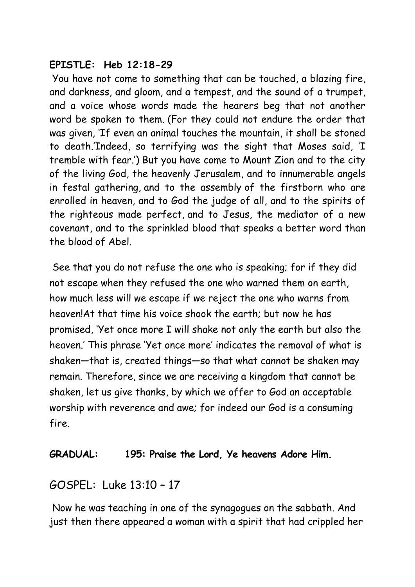### **EPISTLE: Heb 12:18-29**

You have not come to something that can be touched, a blazing fire, and darkness, and gloom, and a tempest, and the sound of a trumpet, and a voice whose words made the hearers beg that not another word be spoken to them. (For they could not endure the order that was given, 'If even an animal touches the mountain, it shall be stoned to death.'Indeed, so terrifying was the sight that Moses said, 'I tremble with fear.') But you have come to Mount Zion and to the city of the living God, the heavenly Jerusalem, and to innumerable angels in festal gathering, and to the assembly of the firstborn who are enrolled in heaven, and to God the judge of all, and to the spirits of the righteous made perfect, and to Jesus, the mediator of a new covenant, and to the sprinkled blood that speaks a better word than the blood of Abel.

See that you do not refuse the one who is speaking; for if they did not escape when they refused the one who warned them on earth, how much less will we escape if we reject the one who warns from heaven!At that time his voice shook the earth; but now he has promised, 'Yet once more I will shake not only the earth but also the heaven.' This phrase 'Yet once more' indicates the removal of what is shaken—that is, created things—so that what cannot be shaken may remain. Therefore, since we are receiving a kingdom that cannot be shaken, let us give thanks, by which we offer to God an acceptable worship with reverence and awe; for indeed our God is a consuming fire.

### **GRADUAL: 195: Praise the Lord, Ye heavens Adore Him.**

### GOSPEL: Luke 13:10 – 17

Now he was teaching in one of the synagogues on the sabbath. And just then there appeared a woman with a spirit that had crippled her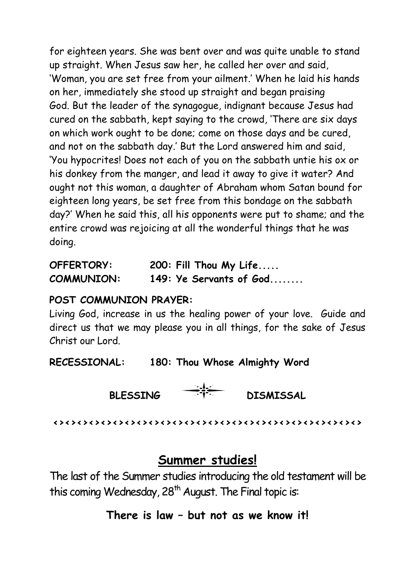for eighteen years. She was bent over and was quite unable to stand up straight. When Jesus saw her, he called her over and said, 'Woman, you are set free from your ailment.' When he laid his hands on her, immediately she stood up straight and began praising God. But the leader of the synagogue, indignant because Jesus had cured on the sabbath, kept saying to the crowd, 'There are six days on which work ought to be done; come on those days and be cured, and not on the sabbath day.' But the Lord answered him and said, 'You hypocrites! Does not each of you on the sabbath untie his ox or his donkey from the manger, and lead it away to give it water? And ought not this woman, a daughter of Abraham whom Satan bound for eighteen long years, be set free from this bondage on the sabbath day?' When he said this, all his opponents were put to shame; and the entire crowd was rejoicing at all the wonderful things that he was doing.

| OFFERTORY:        | 200: Fill Thou My Life    |
|-------------------|---------------------------|
| <b>COMMUNION:</b> | 149: Ye Servants of $God$ |

### **POST COMMUNION PRAYER:**

Living God, increase in us the healing power of your love. Guide and direct us that we may please you in all things, for the sake of Jesus Christ our Lord.

**RECESSIONAL: 180: Thou Whose Almighty Word**

### BLESSING **THE DISMISSAL**

**<><><><><><><><><><><><><><><><><><><><><><><><><><>**

### **Summer studies!**

The last of the Summer studies introducing the old testament will be this coming Wednesday,  $28<sup>th</sup>$  August. The Final topic is:

### **There is law – but not as we know it!**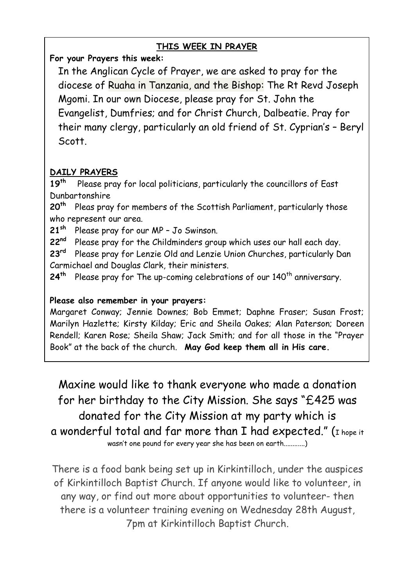### **THIS WEEK IN PRAYER**

**For your Prayers this week:**

In the Anglican Cycle of Prayer, we are asked to pray for the diocese of Ruaha in Tanzania, and the Bishop: [The Rt Revd Joseph](http://www.anglicancommunion.org/tour/diocese.cfm?Idind=795) [Mgomi.](http://www.anglicancommunion.org/tour/diocese.cfm?Idind=795) In our own Diocese, please pray for St. John the Evangelist, Dumfries; and for Christ Church, Dalbeatie. Pray for their many clergy, particularly an old friend of St. Cyprian's – Beryl Scott.

### **DAILY PRAYERS**

**19th** Please pray for local politicians, particularly the councillors of East Dunbartonshire

**20th** Pleas pray for members of the Scottish Parliament, particularly those who represent our area.

**21sh** Please pray for our MP – Jo Swinson.

**22nd** Please pray for the Childminders group which uses our hall each day.

**23rd** Please pray for Lenzie Old and Lenzie Union Churches, particularly Dan Carmichael and Douglas Clark, their ministers.

24<sup>th</sup> Please pray for The up-coming celebrations of our 140<sup>th</sup> anniversary.

### **Please also remember in your prayers:**

Margaret Conway; Jennie Downes; Bob Emmet; Daphne Fraser; Susan Frost; Marilyn Hazlette; Kirsty Kilday; Eric and Sheila Oakes; Alan Paterson; Doreen Rendell; Karen Rose; Sheila Shaw; Jack Smith; and for all those in the "Prayer Book" at the back of the church. **May God keep them all in His care.**

Maxine would like to thank everyone who made a donation for her birthday to the City Mission. She says "£425 was donated for the City Mission at my party which is a wonderful total and far more than I had expected." (I hope it wasn't one pound for every year she has been on earth............)

There is a food bank being set up in Kirkintilloch, under the auspices of Kirkintilloch Baptist Church. If anyone would like to volunteer, in any way, or find out more about opportunities to volunteer- then there is a volunteer training evening on Wednesday 28th August, 7pm at Kirkintilloch Baptist Church.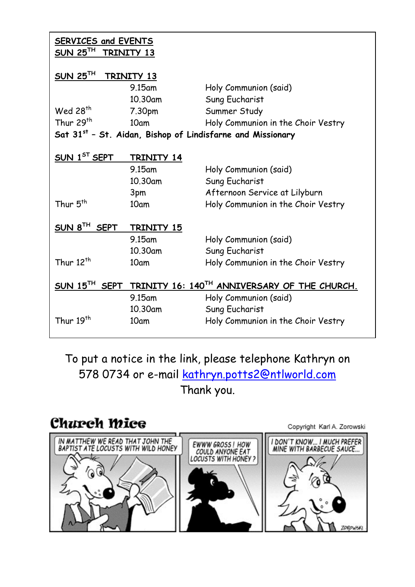| <b>SERVICES and EVENTS</b><br>SUN 25 <sup>TH</sup><br>TRINITY 13   |            |                                    |  |
|--------------------------------------------------------------------|------------|------------------------------------|--|
| SUN 25 <sup>TH</sup><br>TRINITY 13                                 |            |                                    |  |
|                                                                    | 9.15am     | Holy Communion (said)              |  |
|                                                                    | 10.30am    | Sung Eucharist                     |  |
| Wed $28th$                                                         | 7.30pm     | Summer Study                       |  |
| Thur 29 <sup>th</sup>                                              | 10am       | Holy Communion in the Choir Vestry |  |
| Sat 31st - St. Aidan, Bishop of Lindisfarne and Missionary         |            |                                    |  |
|                                                                    |            |                                    |  |
| SUN 1 <sup>ST</sup> SEPT                                           | TRINITY 14 |                                    |  |
|                                                                    | $9.15$ am  | Holy Communion (said)              |  |
|                                                                    | 10.30am    | Sung Eucharist                     |  |
|                                                                    | 3pm        | Afternoon Service at Lilyburn      |  |
| Thur 5 <sup>th</sup>                                               | 10am       | Holy Communion in the Choir Vestry |  |
|                                                                    |            |                                    |  |
| SUN 8 <sup>TH</sup> SEPT                                           | TRINITY 15 |                                    |  |
|                                                                    | 9.15am     | Holy Communion (said)              |  |
|                                                                    | 10.30am    | Sung Eucharist                     |  |
| Thur 12 <sup>th</sup>                                              | 10am       | Holy Communion in the Choir Vestry |  |
|                                                                    |            |                                    |  |
| SUN $15^{TH}$ SEPT<br>TRINITY 16: 140TH ANNIVERSARY OF THE CHURCH. |            |                                    |  |
|                                                                    | 9.15am     | Holy Communion (said)              |  |
|                                                                    | 10.30am    | Sung Eucharist                     |  |
| Thur 19 <sup>th</sup>                                              | 10am       | Holy Communion in the Choir Vestry |  |
|                                                                    |            |                                    |  |

To put a notice in the link, please telephone Kathryn on 578 0734 or e-mail [kathryn.potts2@ntlworld.com](mailto:kathryn.potts2@ntlworld.com)  Thank you.

Copyright Karl A. Zorowski

## **Charch Mice**

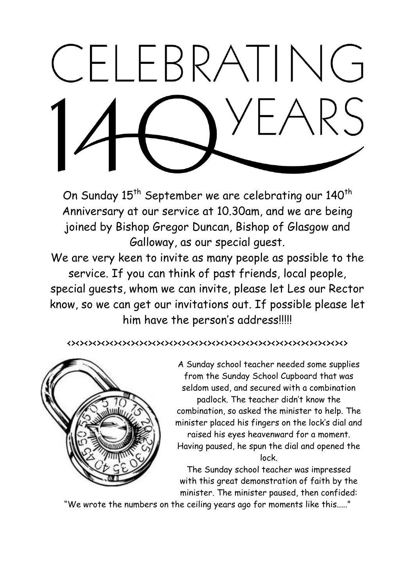# CELEBRATING

On Sunday 15<sup>th</sup> September we are celebrating our 140<sup>th</sup> Anniversary at our service at 10.30am, and we are being joined by Bishop Gregor Duncan, Bishop of Glasgow and Galloway, as our special guest.

We are very keen to invite as many people as possible to the service. If you can think of past friends, local people, special guests, whom we can invite, please let Les our Rector know, so we can get our invitations out. If possible please let him have the person's address!!!!!

<><><><><><><><><><><><><><><><><><><><><><><><><><><><><><><><><>



A Sunday school teacher needed some supplies from the Sunday School Cupboard that was seldom used, and secured with a combination padlock. The teacher didn't know the combination, so asked the minister to help. The minister placed his fingers on the lock's dial and raised his eyes heavenward for a moment. Having paused, he spun the dial and opened the lock.

The Sunday school teacher was impressed with this great demonstration of faith by the minister. The minister paused, then confided:

"We wrote the numbers on the ceiling years ago for moments like this....."